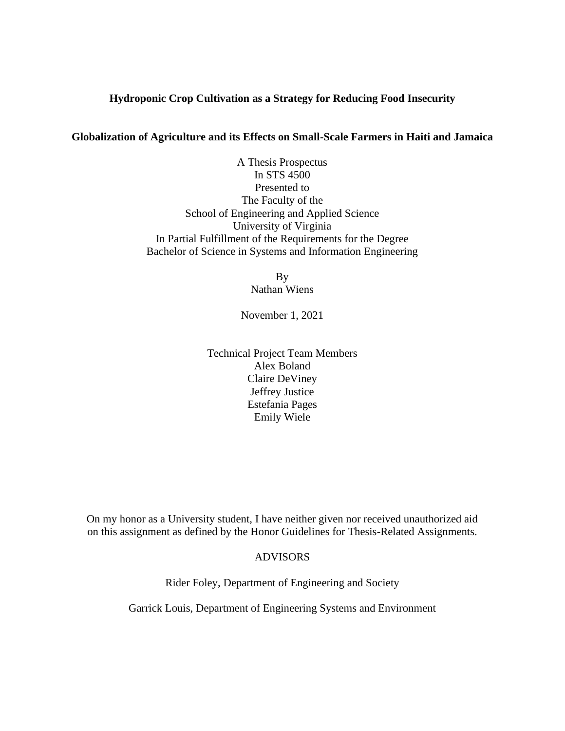# **Hydroponic Crop Cultivation as a Strategy for Reducing Food Insecurity**

### **Globalization of Agriculture and its Effects on Small-Scale Farmers in Haiti and Jamaica**

A Thesis Prospectus In STS 4500 Presented to The Faculty of the School of Engineering and Applied Science University of Virginia In Partial Fulfillment of the Requirements for the Degree Bachelor of Science in Systems and Information Engineering

> By Nathan Wiens

November 1, 2021

Technical Project Team Members Alex Boland Claire DeViney Jeffrey Justice Estefania Pages Emily Wiele

On my honor as a University student, I have neither given nor received unauthorized aid on this assignment as defined by the Honor Guidelines for Thesis-Related Assignments.

## ADVISORS

Rider Foley, Department of Engineering and Society

Garrick Louis, Department of Engineering Systems and Environment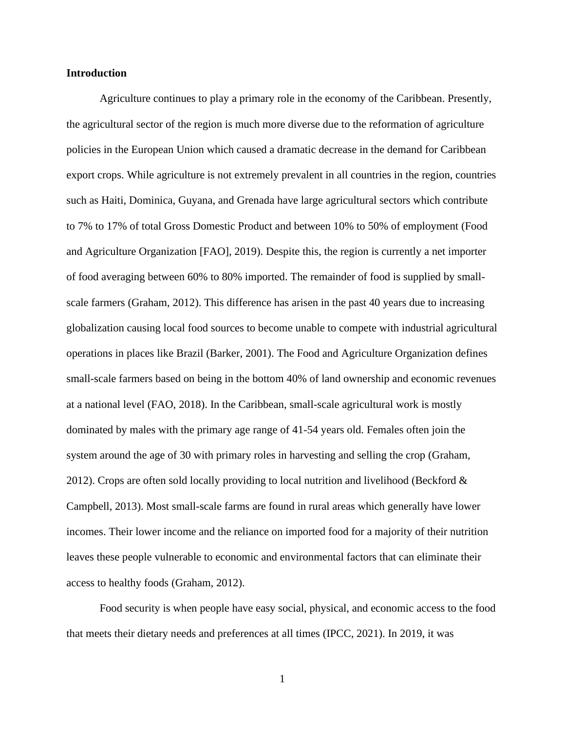#### **Introduction**

Agriculture continues to play a primary role in the economy of the Caribbean. Presently, the agricultural sector of the region is much more diverse due to the reformation of agriculture policies in the European Union which caused a dramatic decrease in the demand for Caribbean export crops. While agriculture is not extremely prevalent in all countries in the region, countries such as Haiti, Dominica, Guyana, and Grenada have large agricultural sectors which contribute to 7% to 17% of total Gross Domestic Product and between 10% to 50% of employment (Food and Agriculture Organization [FAO], 2019). Despite this, the region is currently a net importer of food averaging between 60% to 80% imported. The remainder of food is supplied by smallscale farmers (Graham, 2012). This difference has arisen in the past 40 years due to increasing globalization causing local food sources to become unable to compete with industrial agricultural operations in places like Brazil (Barker, 2001). The Food and Agriculture Organization defines small-scale farmers based on being in the bottom 40% of land ownership and economic revenues at a national level (FAO, 2018). In the Caribbean, small-scale agricultural work is mostly dominated by males with the primary age range of 41-54 years old. Females often join the system around the age of 30 with primary roles in harvesting and selling the crop (Graham, 2012). Crops are often sold locally providing to local nutrition and livelihood (Beckford & Campbell, 2013). Most small-scale farms are found in rural areas which generally have lower incomes. Their lower income and the reliance on imported food for a majority of their nutrition leaves these people vulnerable to economic and environmental factors that can eliminate their access to healthy foods (Graham, 2012).

Food security is when people have easy social, physical, and economic access to the food that meets their dietary needs and preferences at all times (IPCC, 2021). In 2019, it was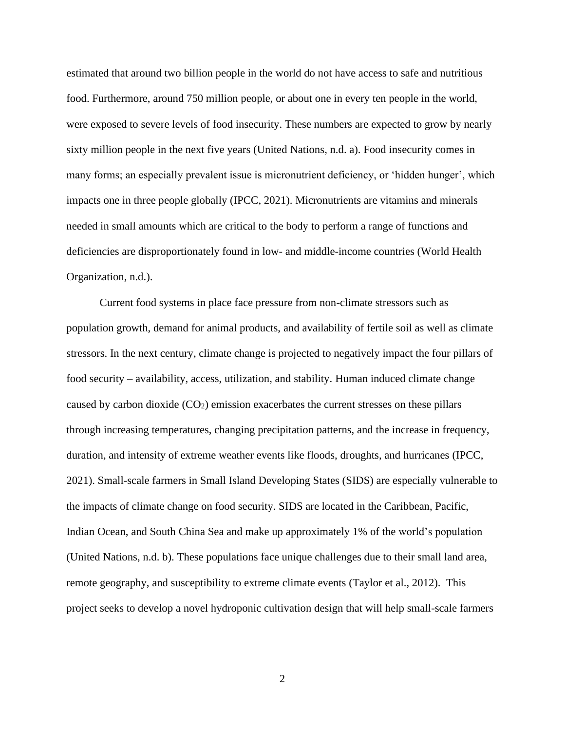estimated that around two billion people in the world do not have access to safe and nutritious food. Furthermore, around 750 million people, or about one in every ten people in the world, were exposed to severe levels of food insecurity. These numbers are expected to grow by nearly sixty million people in the next five years (United Nations, n.d. a). Food insecurity comes in many forms; an especially prevalent issue is micronutrient deficiency, or 'hidden hunger', which impacts one in three people globally (IPCC, 2021). Micronutrients are vitamins and minerals needed in small amounts which are critical to the body to perform a range of functions and deficiencies are disproportionately found in low- and middle-income countries (World Health Organization, n.d.).

Current food systems in place face pressure from non-climate stressors such as population growth, demand for animal products, and availability of fertile soil as well as climate stressors. In the next century, climate change is projected to negatively impact the four pillars of food security – availability, access, utilization, and stability. Human induced climate change caused by carbon dioxide  $(CO<sub>2</sub>)$  emission exacerbates the current stresses on these pillars through increasing temperatures, changing precipitation patterns, and the increase in frequency, duration, and intensity of extreme weather events like floods, droughts, and hurricanes (IPCC, 2021). Small-scale farmers in Small Island Developing States (SIDS) are especially vulnerable to the impacts of climate change on food security. SIDS are located in the Caribbean, Pacific, Indian Ocean, and South China Sea and make up approximately 1% of the world's population (United Nations, n.d. b). These populations face unique challenges due to their small land area, remote geography, and susceptibility to extreme climate events (Taylor et al., 2012). This project seeks to develop a novel hydroponic cultivation design that will help small-scale farmers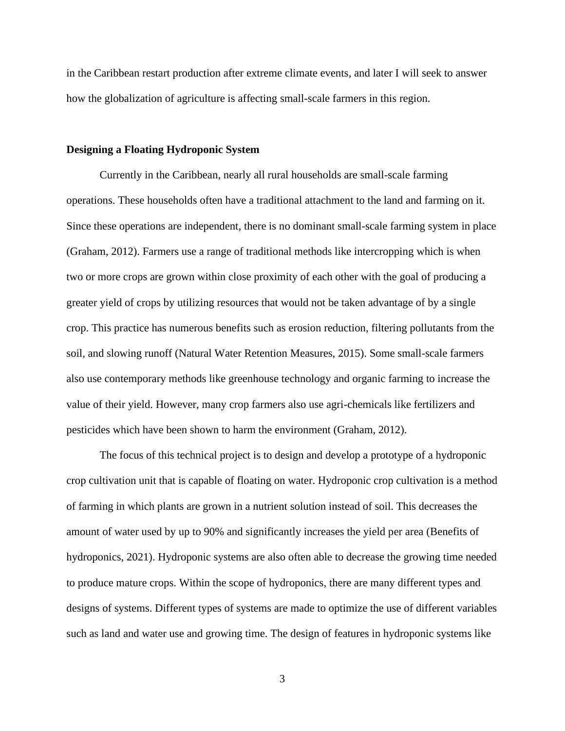in the Caribbean restart production after extreme climate events, and later I will seek to answer how the globalization of agriculture is affecting small-scale farmers in this region.

#### **Designing a Floating Hydroponic System**

Currently in the Caribbean, nearly all rural households are small-scale farming operations. These households often have a traditional attachment to the land and farming on it. Since these operations are independent, there is no dominant small-scale farming system in place (Graham, 2012). Farmers use a range of traditional methods like intercropping which is when two or more crops are grown within close proximity of each other with the goal of producing a greater yield of crops by utilizing resources that would not be taken advantage of by a single crop. This practice has numerous benefits such as erosion reduction, filtering pollutants from the soil, and slowing runoff (Natural Water Retention Measures, 2015). Some small-scale farmers also use contemporary methods like greenhouse technology and organic farming to increase the value of their yield. However, many crop farmers also use agri-chemicals like fertilizers and pesticides which have been shown to harm the environment (Graham, 2012).

The focus of this technical project is to design and develop a prototype of a hydroponic crop cultivation unit that is capable of floating on water. Hydroponic crop cultivation is a method of farming in which plants are grown in a nutrient solution instead of soil. This decreases the amount of water used by up to 90% and significantly increases the yield per area (Benefits of hydroponics, 2021). Hydroponic systems are also often able to decrease the growing time needed to produce mature crops. Within the scope of hydroponics, there are many different types and designs of systems. Different types of systems are made to optimize the use of different variables such as land and water use and growing time. The design of features in hydroponic systems like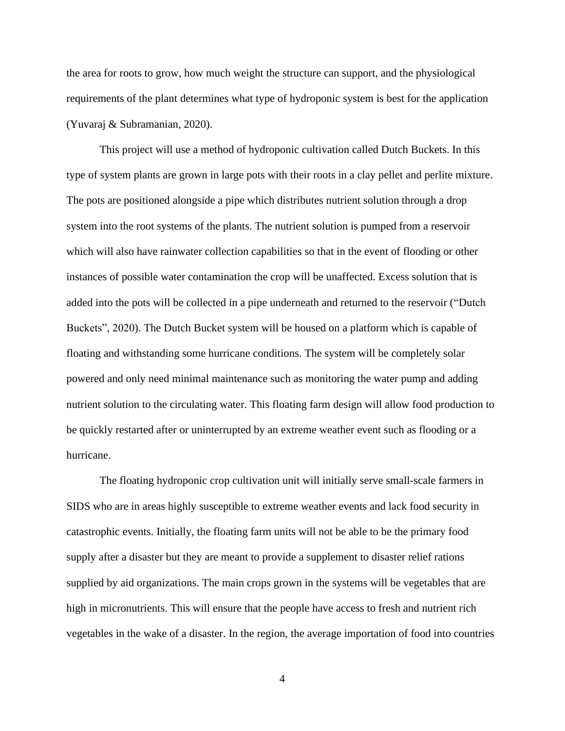the area for roots to grow, how much weight the structure can support, and the physiological requirements of the plant determines what type of hydroponic system is best for the application (Yuvaraj & Subramanian, 2020).

This project will use a method of hydroponic cultivation called Dutch Buckets. In this type of system plants are grown in large pots with their roots in a clay pellet and perlite mixture. The pots are positioned alongside a pipe which distributes nutrient solution through a drop system into the root systems of the plants. The nutrient solution is pumped from a reservoir which will also have rainwater collection capabilities so that in the event of flooding or other instances of possible water contamination the crop will be unaffected. Excess solution that is added into the pots will be collected in a pipe underneath and returned to the reservoir ("Dutch Buckets", 2020). The Dutch Bucket system will be housed on a platform which is capable of floating and withstanding some hurricane conditions. The system will be completely solar powered and only need minimal maintenance such as monitoring the water pump and adding nutrient solution to the circulating water. This floating farm design will allow food production to be quickly restarted after or uninterrupted by an extreme weather event such as flooding or a hurricane.

The floating hydroponic crop cultivation unit will initially serve small-scale farmers in SIDS who are in areas highly susceptible to extreme weather events and lack food security in catastrophic events. Initially, the floating farm units will not be able to be the primary food supply after a disaster but they are meant to provide a supplement to disaster relief rations supplied by aid organizations. The main crops grown in the systems will be vegetables that are high in micronutrients. This will ensure that the people have access to fresh and nutrient rich vegetables in the wake of a disaster. In the region, the average importation of food into countries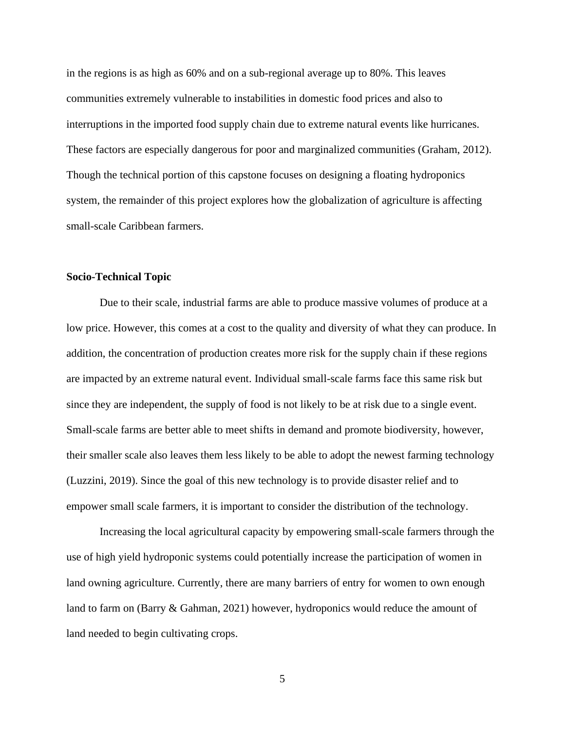in the regions is as high as 60% and on a sub-regional average up to 80%. This leaves communities extremely vulnerable to instabilities in domestic food prices and also to interruptions in the imported food supply chain due to extreme natural events like hurricanes. These factors are especially dangerous for poor and marginalized communities (Graham, 2012). Though the technical portion of this capstone focuses on designing a floating hydroponics system, the remainder of this project explores how the globalization of agriculture is affecting small-scale Caribbean farmers.

#### **Socio-Technical Topic**

Due to their scale, industrial farms are able to produce massive volumes of produce at a low price. However, this comes at a cost to the quality and diversity of what they can produce. In addition, the concentration of production creates more risk for the supply chain if these regions are impacted by an extreme natural event. Individual small-scale farms face this same risk but since they are independent, the supply of food is not likely to be at risk due to a single event. Small-scale farms are better able to meet shifts in demand and promote biodiversity, however, their smaller scale also leaves them less likely to be able to adopt the newest farming technology (Luzzini, 2019). Since the goal of this new technology is to provide disaster relief and to empower small scale farmers, it is important to consider the distribution of the technology.

Increasing the local agricultural capacity by empowering small-scale farmers through the use of high yield hydroponic systems could potentially increase the participation of women in land owning agriculture. Currently, there are many barriers of entry for women to own enough land to farm on (Barry & Gahman, 2021) however, hydroponics would reduce the amount of land needed to begin cultivating crops.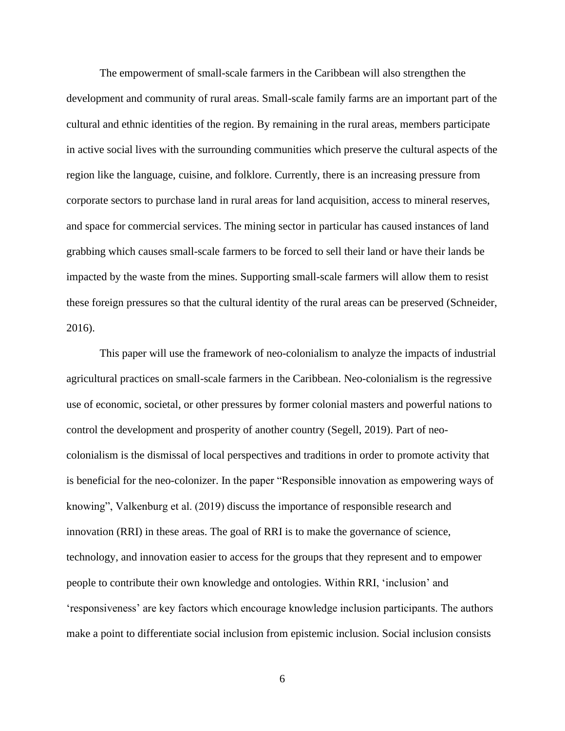The empowerment of small-scale farmers in the Caribbean will also strengthen the development and community of rural areas. Small-scale family farms are an important part of the cultural and ethnic identities of the region. By remaining in the rural areas, members participate in active social lives with the surrounding communities which preserve the cultural aspects of the region like the language, cuisine, and folklore. Currently, there is an increasing pressure from corporate sectors to purchase land in rural areas for land acquisition, access to mineral reserves, and space for commercial services. The mining sector in particular has caused instances of land grabbing which causes small-scale farmers to be forced to sell their land or have their lands be impacted by the waste from the mines. Supporting small-scale farmers will allow them to resist these foreign pressures so that the cultural identity of the rural areas can be preserved (Schneider, 2016).

This paper will use the framework of neo-colonialism to analyze the impacts of industrial agricultural practices on small-scale farmers in the Caribbean. Neo-colonialism is the regressive use of economic, societal, or other pressures by former colonial masters and powerful nations to control the development and prosperity of another country (Segell, 2019). Part of neocolonialism is the dismissal of local perspectives and traditions in order to promote activity that is beneficial for the neo-colonizer. In the paper "Responsible innovation as empowering ways of knowing", Valkenburg et al. (2019) discuss the importance of responsible research and innovation (RRI) in these areas. The goal of RRI is to make the governance of science, technology, and innovation easier to access for the groups that they represent and to empower people to contribute their own knowledge and ontologies. Within RRI, 'inclusion' and 'responsiveness' are key factors which encourage knowledge inclusion participants. The authors make a point to differentiate social inclusion from epistemic inclusion. Social inclusion consists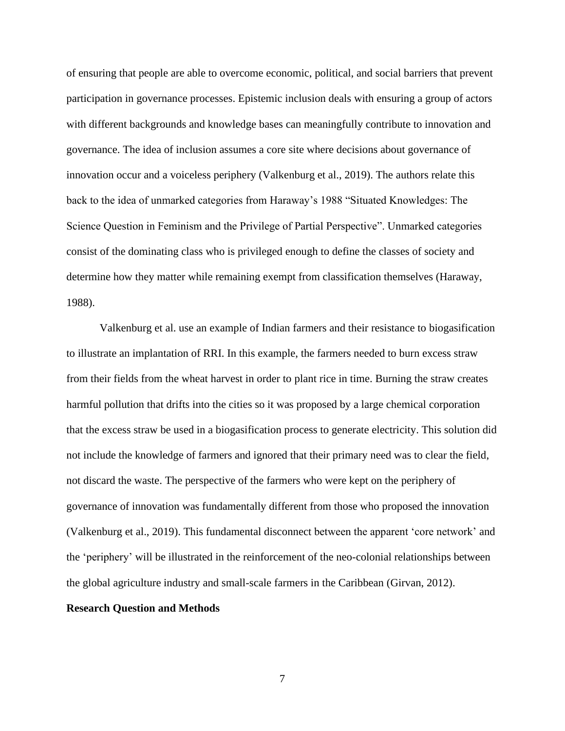of ensuring that people are able to overcome economic, political, and social barriers that prevent participation in governance processes. Epistemic inclusion deals with ensuring a group of actors with different backgrounds and knowledge bases can meaningfully contribute to innovation and governance. The idea of inclusion assumes a core site where decisions about governance of innovation occur and a voiceless periphery (Valkenburg et al., 2019). The authors relate this back to the idea of unmarked categories from Haraway's 1988 "Situated Knowledges: The Science Question in Feminism and the Privilege of Partial Perspective". Unmarked categories consist of the dominating class who is privileged enough to define the classes of society and determine how they matter while remaining exempt from classification themselves (Haraway, 1988).

Valkenburg et al. use an example of Indian farmers and their resistance to biogasification to illustrate an implantation of RRI. In this example, the farmers needed to burn excess straw from their fields from the wheat harvest in order to plant rice in time. Burning the straw creates harmful pollution that drifts into the cities so it was proposed by a large chemical corporation that the excess straw be used in a biogasification process to generate electricity. This solution did not include the knowledge of farmers and ignored that their primary need was to clear the field, not discard the waste. The perspective of the farmers who were kept on the periphery of governance of innovation was fundamentally different from those who proposed the innovation (Valkenburg et al., 2019). This fundamental disconnect between the apparent 'core network' and the 'periphery' will be illustrated in the reinforcement of the neo-colonial relationships between the global agriculture industry and small-scale farmers in the Caribbean (Girvan, 2012).

#### **Research Question and Methods**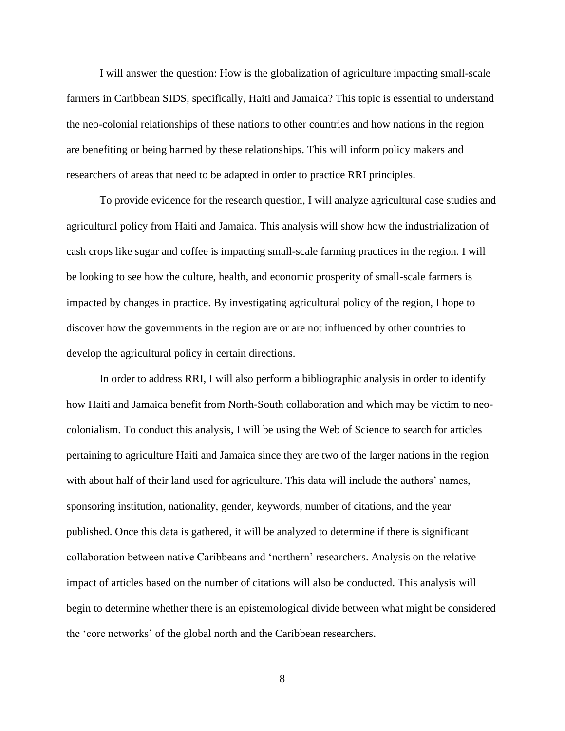I will answer the question: How is the globalization of agriculture impacting small-scale farmers in Caribbean SIDS, specifically, Haiti and Jamaica? This topic is essential to understand the neo-colonial relationships of these nations to other countries and how nations in the region are benefiting or being harmed by these relationships. This will inform policy makers and researchers of areas that need to be adapted in order to practice RRI principles.

To provide evidence for the research question, I will analyze agricultural case studies and agricultural policy from Haiti and Jamaica. This analysis will show how the industrialization of cash crops like sugar and coffee is impacting small-scale farming practices in the region. I will be looking to see how the culture, health, and economic prosperity of small-scale farmers is impacted by changes in practice. By investigating agricultural policy of the region, I hope to discover how the governments in the region are or are not influenced by other countries to develop the agricultural policy in certain directions.

In order to address RRI, I will also perform a bibliographic analysis in order to identify how Haiti and Jamaica benefit from North-South collaboration and which may be victim to neocolonialism. To conduct this analysis, I will be using the Web of Science to search for articles pertaining to agriculture Haiti and Jamaica since they are two of the larger nations in the region with about half of their land used for agriculture. This data will include the authors' names, sponsoring institution, nationality, gender, keywords, number of citations, and the year published. Once this data is gathered, it will be analyzed to determine if there is significant collaboration between native Caribbeans and 'northern' researchers. Analysis on the relative impact of articles based on the number of citations will also be conducted. This analysis will begin to determine whether there is an epistemological divide between what might be considered the 'core networks' of the global north and the Caribbean researchers.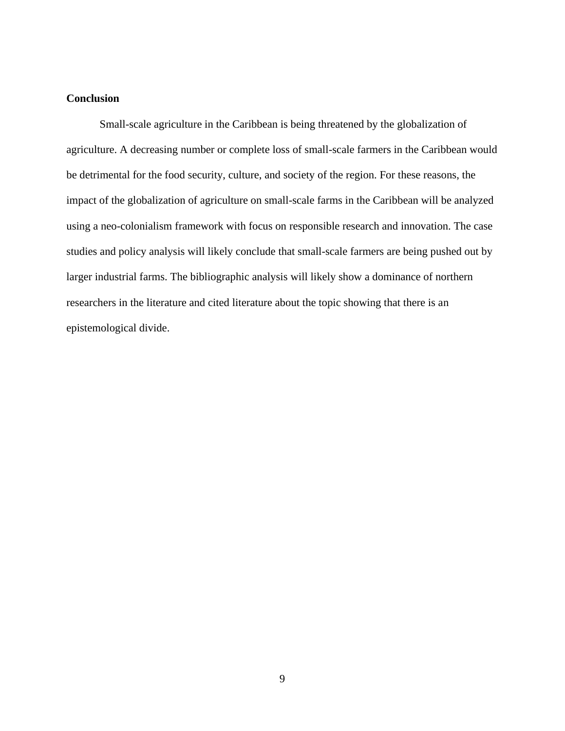## **Conclusion**

Small-scale agriculture in the Caribbean is being threatened by the globalization of agriculture. A decreasing number or complete loss of small-scale farmers in the Caribbean would be detrimental for the food security, culture, and society of the region. For these reasons, the impact of the globalization of agriculture on small-scale farms in the Caribbean will be analyzed using a neo-colonialism framework with focus on responsible research and innovation. The case studies and policy analysis will likely conclude that small-scale farmers are being pushed out by larger industrial farms. The bibliographic analysis will likely show a dominance of northern researchers in the literature and cited literature about the topic showing that there is an epistemological divide.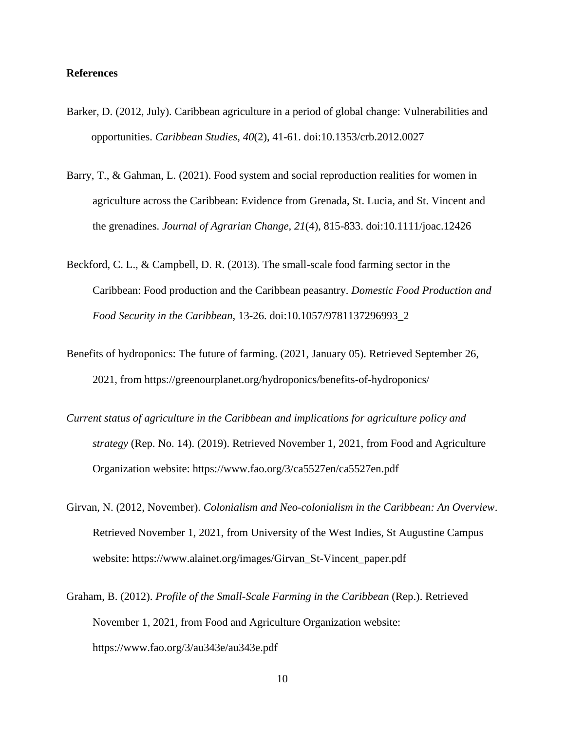#### **References**

- Barker, D. (2012, July). Caribbean agriculture in a period of global change: Vulnerabilities and opportunities. *Caribbean Studies, 40*(2), 41-61. doi:10.1353/crb.2012.0027
- Barry, T., & Gahman, L. (2021). Food system and social reproduction realities for women in agriculture across the Caribbean: Evidence from Grenada, St. Lucia, and St. Vincent and the grenadines. *Journal of Agrarian Change, 21*(4), 815-833. doi:10.1111/joac.12426
- Beckford, C. L., & Campbell, D. R. (2013). The small-scale food farming sector in the Caribbean: Food production and the Caribbean peasantry. *Domestic Food Production and Food Security in the Caribbean,* 13-26. doi:10.1057/9781137296993\_2
- Benefits of hydroponics: The future of farming. (2021, January 05). Retrieved September 26, 2021, from https://greenourplanet.org/hydroponics/benefits-of-hydroponics/
- *Current status of agriculture in the Caribbean and implications for agriculture policy and strategy* (Rep. No. 14). (2019). Retrieved November 1, 2021, from Food and Agriculture Organization website: https://www.fao.org/3/ca5527en/ca5527en.pdf
- Girvan, N. (2012, November). *Colonialism and Neo-colonialism in the Caribbean: An Overview*. Retrieved November 1, 2021, from University of the West Indies, St Augustine Campus website: https://www.alainet.org/images/Girvan\_St-Vincent\_paper.pdf
- Graham, B. (2012). *Profile of the Small-Scale Farming in the Caribbean* (Rep.). Retrieved November 1, 2021, from Food and Agriculture Organization website: https://www.fao.org/3/au343e/au343e.pdf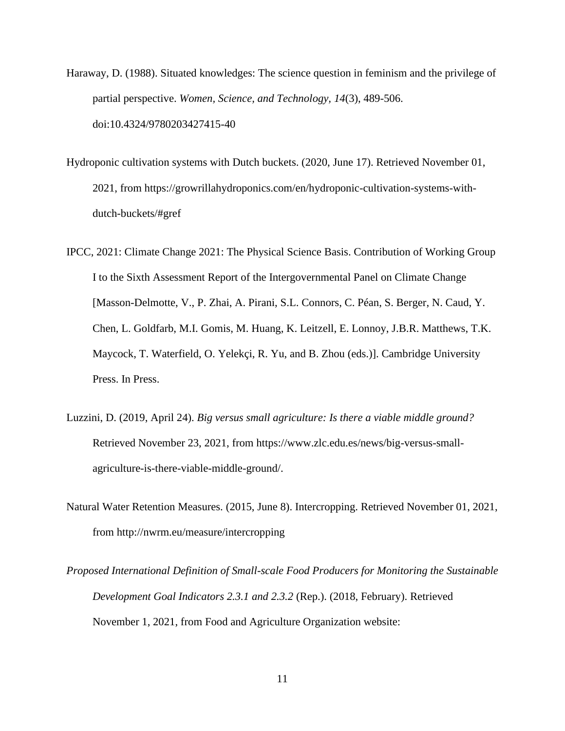- Haraway, D. (1988). Situated knowledges: The science question in feminism and the privilege of partial perspective. *Women, Science, and Technology, 14*(3), 489-506. doi:10.4324/9780203427415-40
- Hydroponic cultivation systems with Dutch buckets. (2020, June 17). Retrieved November 01, 2021, from https://growrillahydroponics.com/en/hydroponic-cultivation-systems-withdutch-buckets/#gref
- IPCC, 2021: Climate Change 2021: The Physical Science Basis. Contribution of Working Group I to the Sixth Assessment Report of the Intergovernmental Panel on Climate Change [Masson-Delmotte, V., P. Zhai, A. Pirani, S.L. Connors, C. Péan, S. Berger, N. Caud, Y. Chen, L. Goldfarb, M.I. Gomis, M. Huang, K. Leitzell, E. Lonnoy, J.B.R. Matthews, T.K. Maycock, T. Waterfield, O. Yelekçi, R. Yu, and B. Zhou (eds.)]. Cambridge University Press. In Press.
- Luzzini, D. (2019, April 24). *Big versus small agriculture: Is there a viable middle ground?* Retrieved November 23, 2021, from https://www.zlc.edu.es/news/big-versus-smallagriculture-is-there-viable-middle-ground/.
- Natural Water Retention Measures. (2015, June 8). Intercropping. Retrieved November 01, 2021, from http://nwrm.eu/measure/intercropping
- *Proposed International Definition of Small-scale Food Producers for Monitoring the Sustainable Development Goal Indicators 2.3.1 and 2.3.2* (Rep.). (2018, February). Retrieved November 1, 2021, from Food and Agriculture Organization website: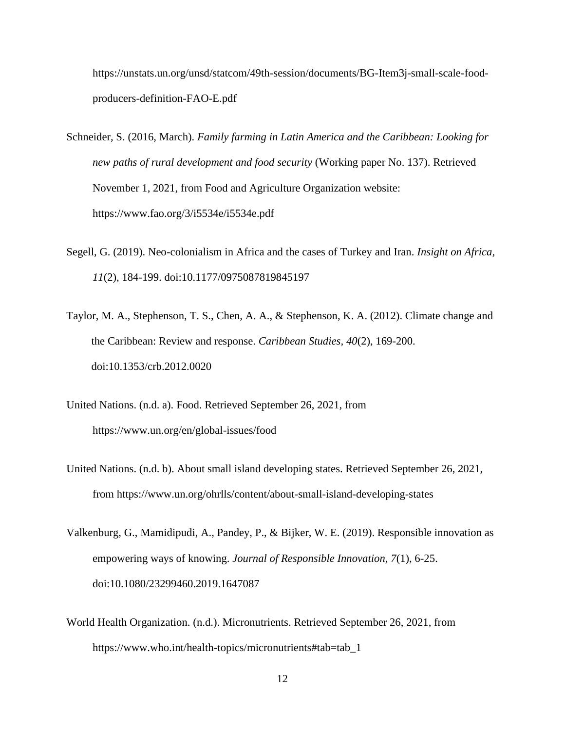https://unstats.un.org/unsd/statcom/49th-session/documents/BG-Item3j-small-scale-foodproducers-definition-FAO-E.pdf

- Schneider, S. (2016, March). *Family farming in Latin America and the Caribbean: Looking for new paths of rural development and food security* (Working paper No. 137). Retrieved November 1, 2021, from Food and Agriculture Organization website: https://www.fao.org/3/i5534e/i5534e.pdf
- Segell, G. (2019). Neo-colonialism in Africa and the cases of Turkey and Iran. *Insight on Africa, 11*(2), 184-199. doi:10.1177/0975087819845197
- Taylor, M. A., Stephenson, T. S., Chen, A. A., & Stephenson, K. A. (2012). Climate change and the Caribbean: Review and response. *Caribbean Studies, 40*(2), 169-200. doi:10.1353/crb.2012.0020
- United Nations. (n.d. a). Food. Retrieved September 26, 2021, from https://www.un.org/en/global-issues/food
- United Nations. (n.d. b). About small island developing states. Retrieved September 26, 2021, from https://www.un.org/ohrlls/content/about-small-island-developing-states
- Valkenburg, G., Mamidipudi, A., Pandey, P., & Bijker, W. E. (2019). Responsible innovation as empowering ways of knowing. *Journal of Responsible Innovation, 7*(1), 6-25. doi:10.1080/23299460.2019.1647087
- World Health Organization. (n.d.). Micronutrients. Retrieved September 26, 2021, from https://www.who.int/health-topics/micronutrients#tab=tab\_1